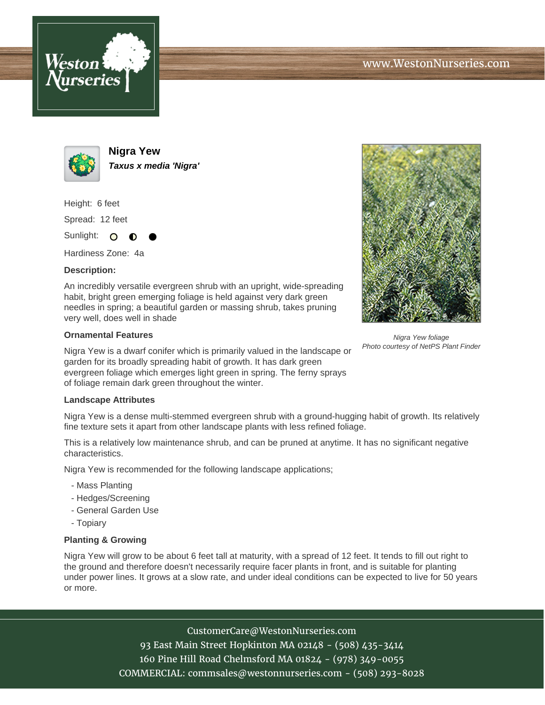



**Nigra Yew Taxus x media 'Nigra'**

Height: 6 feet

Spread: 12 feet

Sunlight: O

Hardiness Zone: 4a

## **Description:**

An incredibly versatile evergreen shrub with an upright, wide-spreading habit, bright green emerging foliage is held against very dark green needles in spring; a beautiful garden or massing shrub, takes pruning very well, does well in shade

## **Ornamental Features**

Nigra Yew is a dwarf conifer which is primarily valued in the landscape or garden for its broadly spreading habit of growth. It has dark green evergreen foliage which emerges light green in spring. The ferny sprays of foliage remain dark green throughout the winter.

## **Landscape Attributes**

Nigra Yew is a dense multi-stemmed evergreen shrub with a ground-hugging habit of growth. Its relatively fine texture sets it apart from other landscape plants with less refined foliage.

This is a relatively low maintenance shrub, and can be pruned at anytime. It has no significant negative characteristics.

Nigra Yew is recommended for the following landscape applications;

- Mass Planting
- Hedges/Screening
- General Garden Use
- Topiary

## **Planting & Growing**

Nigra Yew will grow to be about 6 feet tall at maturity, with a spread of 12 feet. It tends to fill out right to the ground and therefore doesn't necessarily require facer plants in front, and is suitable for planting under power lines. It grows at a slow rate, and under ideal conditions can be expected to live for 50 years or more.

> CustomerCare@WestonNurseries.com 93 East Main Street Hopkinton MA 02148 - (508) 435-3414 160 Pine Hill Road Chelmsford MA 01824 - (978) 349-0055 COMMERCIAL: commsales@westonnurseries.com - (508) 293-8028



Nigra Yew foliage Photo courtesy of NetPS Plant Finder